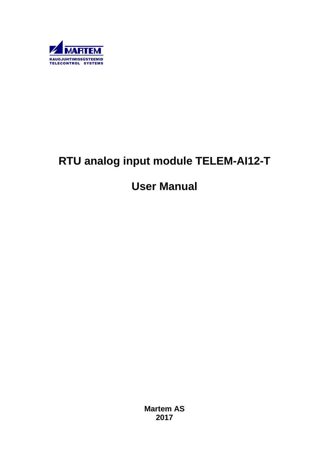

# **RTU analog input module TELEM-AI12-T**

# **User Manual**

**Martem AS 2017**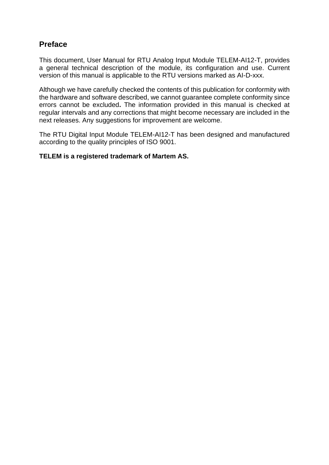# **Preface**

This document, User Manual for RTU Analog Input Module TELEM-AI12-T, provides a general technical description of the module, its configuration and use. Current version of this manual is applicable to the RTU versions marked as AI-D-xxx.

Although we have carefully checked the contents of this publication for conformity with the hardware and software described, we cannot guarantee complete conformity since errors cannot be excluded**.** The information provided in this manual is checked at regular intervals and any corrections that might become necessary are included in the next releases. Any suggestions for improvement are welcome.

The RTU Digital Input Module TELEM-AI12-T has been designed and manufactured according to the quality principles of ISO 9001.

#### **TELEM is a registered trademark of Martem AS.**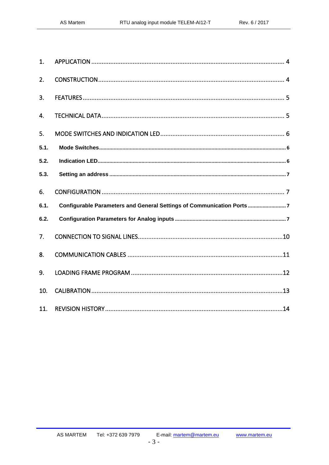| 1.   |                                                                       |
|------|-----------------------------------------------------------------------|
| 2.   |                                                                       |
| 3.   |                                                                       |
| 4.   |                                                                       |
| 5.   |                                                                       |
| 5.1. |                                                                       |
| 5.2. |                                                                       |
| 5.3. |                                                                       |
| 6.   |                                                                       |
| 6.1. | Configurable Parameters and General Settings of Communication Ports 7 |
| 6.2. |                                                                       |
| 7.   |                                                                       |
| 8.   |                                                                       |
| 9.   |                                                                       |
| 10.  |                                                                       |
|      |                                                                       |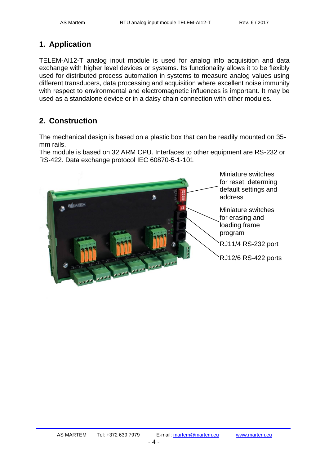# <span id="page-3-0"></span>**1. Application**

TELEM-AI12-T analog input module is used for analog info acquisition and data exchange with higher level devices or systems. Its functionality allows it to be flexibly used for distributed process automation in systems to measure analog values using different transducers, data processing and acquisition where excellent noise immunity with respect to environmental and electromagnetic influences is important. It may be used as a standalone device or in a daisy chain connection with other modules.

# <span id="page-3-1"></span>**2. Construction**

The mechanical design is based on a plastic box that can be readily mounted on 35 mm rails.

The module is based on 32 ARM CPU. Interfaces to other equipment are RS-232 or RS-422. Data exchange protocol IEC 60870-5-1-101

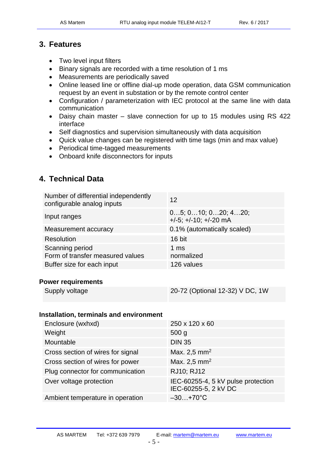# <span id="page-4-0"></span>**3. Features**

- Two level input filters
- Binary signals are recorded with a time resolution of 1 ms
- Measurements are periodically saved
- Online leased line or offline dial-up mode operation, data GSM communication request by an event in substation or by the remote control center
- Configuration / parameterization with IEC protocol at the same line with data communication
- Daisy chain master slave connection for up to 15 modules using RS 422 interface
- Self diagnostics and supervision simultaneously with data acquisition
- Quick value changes can be registered with time tags (min and max value)
- Periodical time-tagged measurements
- Onboard knife disconnectors for inputs

# <span id="page-4-1"></span>**4. Technical Data**

| Number of differential independently<br>configurable analog inputs | 12                                                         |
|--------------------------------------------------------------------|------------------------------------------------------------|
| Input ranges                                                       | 05; 010; 020; 420;<br>$+/-5$ ; $+/-10$ ; $+/-20$ mA        |
| Measurement accuracy                                               | 0.1% (automatically scaled)                                |
| <b>Resolution</b>                                                  | 16 bit                                                     |
| Scanning period<br>Form of transfer measured values                | 1 <sub>ms</sub><br>normalized                              |
| Buffer size for each input                                         | 126 values                                                 |
|                                                                    |                                                            |
| <b>Power requirements</b>                                          |                                                            |
| Supply voltage                                                     | 20-72 (Optional 12-32) V DC, 1W                            |
|                                                                    |                                                            |
| <b>Installation, terminals and environment</b>                     |                                                            |
| Enclosure (wxhxd)                                                  | 250 x 120 x 60                                             |
| Weight                                                             | 500 <sub>g</sub>                                           |
| Mountable                                                          | <b>DIN 35</b>                                              |
| Cross section of wires for signal                                  | Max. 2,5 mm <sup>2</sup>                                   |
| Cross section of wires for power                                   | Max. 2,5 mm <sup>2</sup>                                   |
| Plug connector for communication                                   | RJ10; RJ12                                                 |
| Over voltage protection                                            | IEC-60255-4, 5 kV pulse protection<br>IEC-60255-5, 2 kV DC |
| Ambient temperature in operation                                   | $-30+70$ °C                                                |
|                                                                    |                                                            |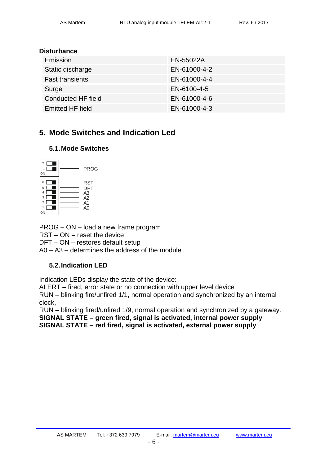#### **Disturbance**

| Emission               | EN-55022A    |
|------------------------|--------------|
| Static discharge       | EN-61000-4-2 |
| <b>Fast transients</b> | EN-61000-4-4 |
| Surge                  | EN-6100-4-5  |
| Conducted HF field     | EN-61000-4-6 |
| Emitted HF field       | EN-61000-4-3 |

# <span id="page-5-0"></span>**5. Mode Switches and Indication Led**

#### <span id="page-5-1"></span>**5.1.Mode Switches**



PROG – ON – load a new frame program

RST – ON – reset the device

DFT – ON – restores default setup

A0 – A3 – determines the address of the module

## <span id="page-5-2"></span>**5.2.Indication LED**

Indication LEDs display the state of the device:

ALERT – fired, error state or no connection with upper level device

RUN – blinking fire/unfired 1/1, normal operation and synchronized by an internal clock,

RUN – blinking fired/unfired 1/9, normal operation and synchronized by a gateway. **SIGNAL STATE – green fired, signal is activated, internal power supply SIGNAL STATE – red fired, signal is activated, external power supply**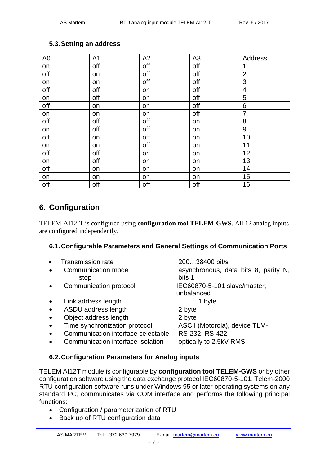| A <sub>0</sub> | A <sub>1</sub> | A2  | A <sub>3</sub> | Address        |
|----------------|----------------|-----|----------------|----------------|
| on             | off            | off | off            |                |
| off            | on             | off | off            | $\overline{2}$ |
| on             | on             | off | off            | 3              |
| off            | off            | on  | off            | $\overline{4}$ |
| on             | off            | on  | off            | 5              |
| off            | on             | on  | off            | 6              |
| on             | on             | on  | off            | $\overline{7}$ |
| off            | off            | off | on             | 8              |
| on             | off            | off | on             | 9              |
| off            | on             | off | on             | 10             |
| on             | on             | off | on             | 11             |
| off            | off            | on  | on             | 12             |
| on             | off            | on  | on             | 13             |
| off            | on             | on  | on             | 14             |
| on             | on             | on  | on             | 15             |
| off            | off            | off | off            | 16             |

### <span id="page-6-0"></span>**5.3.Setting an address**

# <span id="page-6-1"></span>**6. Configuration**

TELEM-AI12-T is configured using **configuration tool TELEM-GWS**. All 12 analog inputs are configured independently.

### <span id="page-6-2"></span>**6.1.Configurable Parameters and General Settings of Communication Ports**

- Transmission rate 200…38400 bit/s
- stop bits 1
- 
- Link address length 1 byte
- ASDU address length 2 byte
- Object address length 2 byte
- Time synchronization protocol ASCII (Motorola), device TLM-
- Communication interface selectable RS-232, RS-422
- Communication interface isolation optically to 2,5kV RMS

• Communication mode asynchronous, data bits 8, parity N, • Communication protocol IEC60870-5-101 slave/master, unbalanced

#### <span id="page-6-3"></span>**6.2.Configuration Parameters for Analog inputs**

TELEM AI12T module is configurable by **configuration tool TELEM-GWS** or by other configuration software using the data exchange protocol IEC60870-5-101. Telem-2000 RTU configuration software runs under Windows 95 or later operating systems on any standard PC, communicates via COM interface and performs the following principal functions:

- Configuration / parameterization of RTU
- Back up of RTU configuration data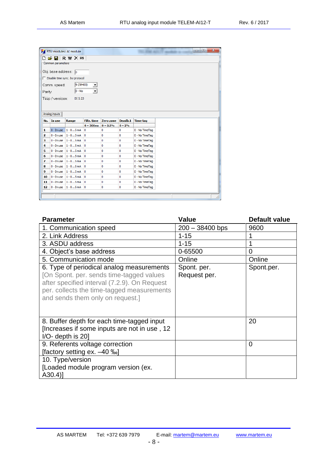|                         |                               | RTU modules: AI module           |                    |                  |          |                                  |  |  | $\Box$ e | $\mathbf{x}$ |
|-------------------------|-------------------------------|----------------------------------|--------------------|------------------|----------|----------------------------------|--|--|----------|--------------|
| D                       | C H                           | R W X RS                         |                    |                  |          |                                  |  |  |          |              |
|                         | Common parameters             |                                  |                    |                  |          |                                  |  |  |          |              |
|                         | Obj. base address: $\sqrt{0}$ |                                  |                    |                  |          |                                  |  |  |          |              |
|                         |                               |                                  |                    |                  |          |                                  |  |  |          |              |
|                         |                               | □ Disable time sync. by protocol |                    |                  |          |                                  |  |  |          |              |
|                         | Comm. speed:                  | 9 (38400)                        |                    |                  |          |                                  |  |  |          |              |
| Parity:                 |                               | $ 0 - No$                        |                    |                  |          |                                  |  |  |          |              |
|                         |                               | DI 5.23                          |                    |                  |          |                                  |  |  |          |              |
|                         | Tüüp / versioon:              |                                  |                    |                  |          |                                  |  |  |          |              |
|                         |                               |                                  |                    |                  |          |                                  |  |  |          |              |
|                         |                               |                                  |                    |                  |          |                                  |  |  |          |              |
|                         |                               |                                  |                    |                  |          |                                  |  |  |          |              |
|                         | Analog inputs                 |                                  |                    |                  |          |                                  |  |  |          |              |
| No.                     | In use                        | Range                            | <b>Filtr.</b> time | <b>Zero zone</b> | Deadb.1  | <b>Time tag</b>                  |  |  |          |              |
|                         |                               |                                  | $0 = 300ms$        | $0 = 0.5%$       | $0 = 2%$ |                                  |  |  |          |              |
| 1                       | $0 - In use$                  | $1 - 05$ mA                      | 0                  | 0                | 0        | 0 - No TimeTag                   |  |  |          |              |
| $\overline{\mathbf{2}}$ | $0 - In use$                  | $1 - 05$ mA                      | 0                  | 0                | o        | 0 - No TimeTag                   |  |  |          |              |
| з                       | 0 - In use                    | $1 - 05$ mA                      | 0                  | 0                | 0        | 0 - No TimeTag                   |  |  |          |              |
| 4                       | 0 - In use                    | $1 - 05$ mA                      | 0                  | 0                | 0        | 0 - No TimeTag                   |  |  |          |              |
| 5                       | $0$ - In use                  | $1 - 05$ mA                      | 0                  | 0                | 0        | 0 - No TimeTag                   |  |  |          |              |
| 6                       | 0 - In use                    | $1 - 05$ mA                      | 0                  | 0                | 0        | 0 - No TimeTag                   |  |  |          |              |
| 7                       | 0 - In use                    | $1 - 05$ mA                      | 0                  | 0                | 0        | 0 - No TimeTag                   |  |  |          |              |
| 8<br>9                  | 0 - In use                    | $1 - 05$ mA                      | 0<br>0             | 0                | 0<br>0   | 0 - No TimeTag                   |  |  |          |              |
| 10                      | $0$ - In use<br>0 - In use    | $1 - 05$ mA<br>$1 - 05$ mA       | 0                  | 0<br>0           | 0        | 0 - No TimeTag                   |  |  |          |              |
| 11                      | $0 - In use$                  | $1 - 05$ mA                      | 0                  | 0                | 0        | 0 - No TimeTag<br>0 - No TimeTag |  |  |          |              |

| <b>Parameter</b>                                                                                                                                                                                                        | <b>Value</b>                | <b>Default value</b> |
|-------------------------------------------------------------------------------------------------------------------------------------------------------------------------------------------------------------------------|-----------------------------|----------------------|
| 1. Communication speed                                                                                                                                                                                                  | $200 - 38400$ bps           | 9600                 |
| 2. Link Address                                                                                                                                                                                                         | $1 - 15$                    |                      |
| 3. ASDU address                                                                                                                                                                                                         | $1 - 15$                    |                      |
| 4. Object's base address                                                                                                                                                                                                | 0-65500                     | 0                    |
| 5. Communication mode                                                                                                                                                                                                   | Online                      | Online               |
| 6. Type of periodical analog measurements<br>[On Spont. per. sends time-tagged values<br>after specified interval (7.2.9). On Request<br>per. collects the time-tagged measurements<br>and sends them only on request.] | Spont. per.<br>Request per. | Spont.per.           |
| 8. Buffer depth for each time-tagged input<br>[Increases if some inputs are not in use, 12<br>$I/O$ - depth is 20                                                                                                       |                             | 20                   |
| 9. Referents voltage correction<br>[factory setting ex. -40 ‰]                                                                                                                                                          |                             | 0                    |
| 10. Type/version<br>[Loaded module program version (ex.<br>$(A30.4)$ ]                                                                                                                                                  |                             |                      |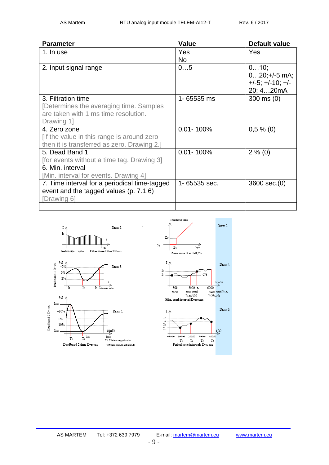| <b>Parameter</b>                              | <b>Value</b>   | Default value            |
|-----------------------------------------------|----------------|--------------------------|
| 1. In use                                     | Yes            | Yes                      |
|                                               | No.            |                          |
| 2. Input signal range                         | 05             | 010;                     |
|                                               |                | $020;+/5$ mA;            |
|                                               |                | $+/-5$ ; $+/-10$ ; $+/-$ |
|                                               |                | 20; 420mA                |
| 3. Filtration time                            | 1-65535 ms     | $300 \text{ ms} (0)$     |
| [Determines the averaging time. Samples       |                |                          |
| are taken with 1 ms time resolution.          |                |                          |
| Drawing 1                                     |                |                          |
| 4. Zero zone                                  | $0,01 - 100\%$ | $0,5\%$ (0)              |
| If the value in this range is around zero     |                |                          |
| then it is transferred as zero. Drawing 2.]   |                |                          |
| 5. Dead Band 1                                | $0,01 - 100\%$ | $2\%$ (0)                |
| [for events without a time tag. Drawing 3]    |                |                          |
| 6. Min. interval                              |                |                          |
| [Min. interval for events. Drawing 4]         |                |                          |
| 7. Time interval for a periodical time-tagged | 1-65535 sec.   | 3600 sec.(0)             |
| event and the tagged values (p. 7.1.6)        |                |                          |
| [Drawing 6]                                   |                |                          |
|                                               |                |                          |

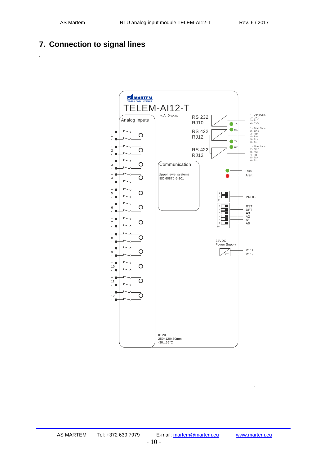.

.

# <span id="page-9-0"></span>**7. Connection to signal lines**

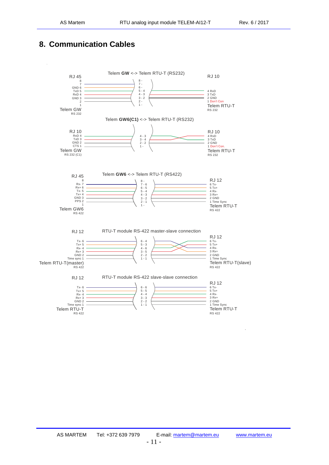# <span id="page-10-0"></span>**8. Communication Cables**

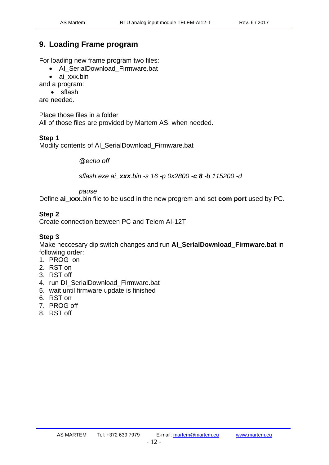# <span id="page-11-0"></span>**9. Loading Frame program**

For loading new frame program two files:

• AI\_SerialDownload\_Firmware.bat

• ai\_xxx.bin

and a program:

• sflash

are needed.

Place those files in a folder

All of those files are provided by Martem AS, when needed.

#### **Step 1**

Modify contents of AI\_SerialDownload\_Firmware.bat

*@echo off*

*sflash.exe ai\_xxx.bin -s 16 -p 0x2800 -c 8 -b 115200 -d*

*pause*

Define **ai\_xxx**.bin file to be used in the new progrem and set **com port** used by PC.

#### **Step 2**

Create connection between PC and Telem AI-12T

#### **Step 3**

Make neccesary dip switch changes and run **AI\_SerialDownload\_Firmware.bat** in following order:

- 1. PROG on
- 2. RST on
- 3. RST off
- 4. run DI\_SerialDownload\_Firmware.bat
- 5. wait until firmware update is finished
- 6. RST on
- 7. PROG off
- 8. RST off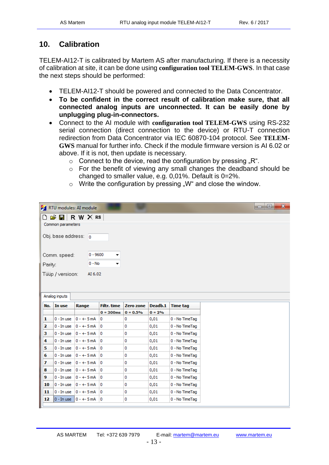$\begin{array}{c|c|c|c|c|c} \hline \multicolumn{1}{c|}{\mathbf{0}} & \multicolumn{1}{c|}{\mathbf{0}} & \multicolumn{1}{c|}{\mathbf{0}} \end{array}$ 

# <span id="page-12-0"></span>**10. Calibration**

**Ex PTII** modules: AI module

TELEM-AI12-T is calibrated by Martem AS after manufacturing. If there is a necessity of calibration at site, it can be done using **configuration tool TELEM-GWS**. In that case the next steps should be performed:

- TELEM-AI12-T should be powered and connected to the Data Concentrator.
- **To be confident in the correct result of calibration make sure, that all connected analog inputs are unconnected. It can be easily done by unplugging plug-in-connectors.**
- Connect to the AI module with **configuration tool TELEM-GWS** using RS-232 serial connection (direct connection to the device) or RTU-T connection redirection from Data Concentrator via IEC 60870-104 protocol. See **TELEM-GWS** manual for further info. Check if the module firmware version is AI 6.02 or above. If it is not, then update is necessary.
	- $\circ$  Connect to the device, read the configuration by pressing "R".
	- o For the benefit of viewing any small changes the deadband should be changed to smaller value, e.g. 0,01%. Default is 0=2%.

|                      |                   | THE R. P. LEWIS CO., LANSING MICH.            |                    |            |          |                 |  |  |  |
|----------------------|-------------------|-----------------------------------------------|--------------------|------------|----------|-----------------|--|--|--|
|                      |                   | $\Box$ $\cong$ $\blacksquare$ R W $\times$ RS |                    |            |          |                 |  |  |  |
|                      | Common parameters |                                               |                    |            |          |                 |  |  |  |
|                      |                   |                                               |                    |            |          |                 |  |  |  |
| Obj. base address: 0 |                   |                                               |                    |            |          |                 |  |  |  |
|                      |                   |                                               |                    |            |          |                 |  |  |  |
|                      | Comm. speed:      | $0 - 9600$                                    | ▼                  |            |          |                 |  |  |  |
|                      |                   | $0 - No$                                      |                    |            |          |                 |  |  |  |
| Parity:              |                   |                                               | ▼                  |            |          |                 |  |  |  |
|                      | Tüüp / versioon:  | AI 6.02                                       |                    |            |          |                 |  |  |  |
|                      |                   |                                               |                    |            |          |                 |  |  |  |
|                      |                   |                                               |                    |            |          |                 |  |  |  |
|                      | Analog inputs     |                                               |                    |            |          |                 |  |  |  |
| No.                  | In use            | Range                                         | <b>Filtr.</b> time | Zero zone  | Deadb.1  | <b>Time tag</b> |  |  |  |
|                      |                   |                                               | $0 = 300$ ms       | $0 = 0.5%$ | $0 = 2%$ |                 |  |  |  |
| 1                    | $0$ - In use      | $0 - + -5$ mA                                 | 0                  | 0          | 0,01     | 0 - No TimeTag  |  |  |  |
| 2                    | $0 - In use$      | $0 - + -5$ mA                                 | 0                  | 0          | 0,01     | 0 - No TimeTag  |  |  |  |
| з                    | 0 - In use        | $0 - + -5$ mA                                 | 0                  | 0          | 0,01     | 0 - No TimeTag  |  |  |  |
| 4                    | 0 - In use        | $0 - + -5$ mA                                 | 0                  | 0          | 0,01     | 0 - No TimeTag  |  |  |  |
|                      |                   |                                               |                    |            |          |                 |  |  |  |
| 5                    | $0 - In use$      | $0 - + -5$ mA                                 | 0                  | 0          | 0,01     | 0 - No TimeTag  |  |  |  |
| 6                    | 0 - In use        | $0 - + -5$ mA                                 | 0                  | 0          | 0,01     | 0 - No TimeTag  |  |  |  |
| 7                    | $0 - In use$      | $0 - + -5$ mA                                 | 0                  | 0          | 0,01     | 0 - No TimeTag  |  |  |  |
| 8                    | 0 - In use        | $0 - + -5$ mA                                 | 0                  | 0          | 0,01     | 0 - No TimeTag  |  |  |  |
| 9                    | 0 - In use        | $0 - + -5$ mA                                 | 0                  | 0          | 0,01     | 0 - No TimeTag  |  |  |  |
| 10                   | 0 - In use        | $0 - + -5$ mA                                 | 0                  | 0          | 0,01     | 0 - No TimeTag  |  |  |  |
| 11                   | 0 - In use        | $0 - + -5$ mA                                 | 0                  | 0          | 0,01     | 0 - No TimeTag  |  |  |  |
| 12                   |                   | $0 - In use 0 - + - 5 mA$                     | 0                  | 0          | 0,01     | 0 - No TimeTag  |  |  |  |
|                      |                   |                                               |                    |            |          |                 |  |  |  |

 $\circ$  Write the configuration by pressing "W" and close the window.